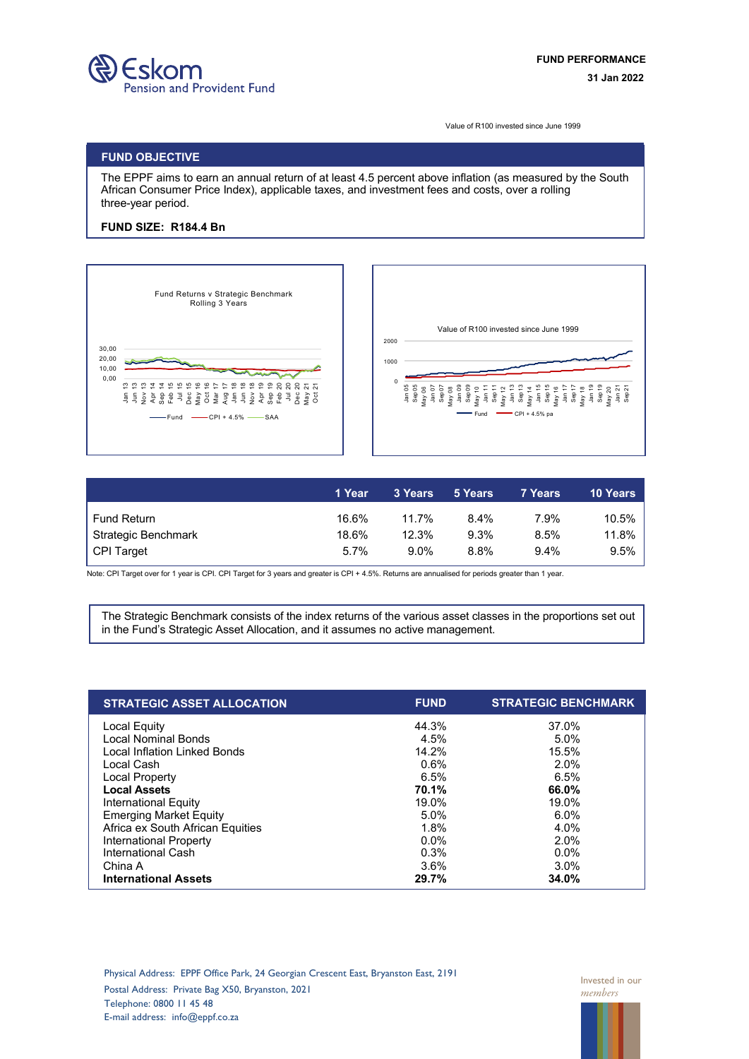

Value of R100 invested since June 1999

## **FUND OBJECTIVE**

The EPPF aims to earn an annual return of at least 4.5 percent above inflation (as measured by the South African Consumer Price Index), applicable taxes, and investment fees and costs, over a rolling three-year period.

## **FUND SIZE: R184.4 Bn**





|                     | '1 Year | 3 Years | 5 Years | 7 Years | <b>10 Years</b> |
|---------------------|---------|---------|---------|---------|-----------------|
| Fund Return         | 16.6%   | 11.7%   | 8.4%    | 7.9%    | 10.5%           |
| Strategic Benchmark | 18.6%   | 12.3%   | 9.3%    | 8.5%    | 11.8%           |
| CPI Target          | 5.7%    | $9.0\%$ | 8.8%    | $9.4\%$ | 9.5%            |

Note: CPI Target over for 1 year is CPI. CPI Target for 3 years and greater is CPI + 4.5%. Returns are annualised for periods greater than 1 year.

The Strategic Benchmark consists of the index returns of the various asset classes in the proportions set out in the Fund's Strategic Asset Allocation, and it assumes no active management.

| <b>STRATEGIC ASSET ALLOCATION</b>   | <b>FUND</b> | <b>STRATEGIC BENCHMARK</b> |
|-------------------------------------|-------------|----------------------------|
| Local Equity                        | 44.3%       | 37.0%                      |
| <b>Local Nominal Bonds</b>          | 4.5%        | 5.0%                       |
| <b>Local Inflation Linked Bonds</b> | 14.2%       | 15.5%                      |
| Local Cash                          | 0.6%        | 2.0%                       |
| Local Property                      | 6.5%        | 6.5%                       |
| <b>Local Assets</b>                 | 70.1%       | 66.0%                      |
| International Equity                | 19.0%       | 19.0%                      |
| <b>Emerging Market Equity</b>       | 5.0%        | 6.0%                       |
| Africa ex South African Equities    | 1.8%        | 4.0%                       |
| International Property              | $0.0\%$     | 2.0%                       |
| International Cash                  | 0.3%        | $0.0\%$                    |
| China A                             | 3.6%        | 3.0%                       |
| <b>International Assets</b>         | 29.7%       | 34.0%                      |

Physical Address: EPPF Office Park, 24 Georgian Crescent East, Bryanston East, 2191 Postal Address: Private Bag X50, Bryanston, 2021 Telephone: 0800 11 45 48 E-mail address: info@eppf.co.za

Invested in our *members*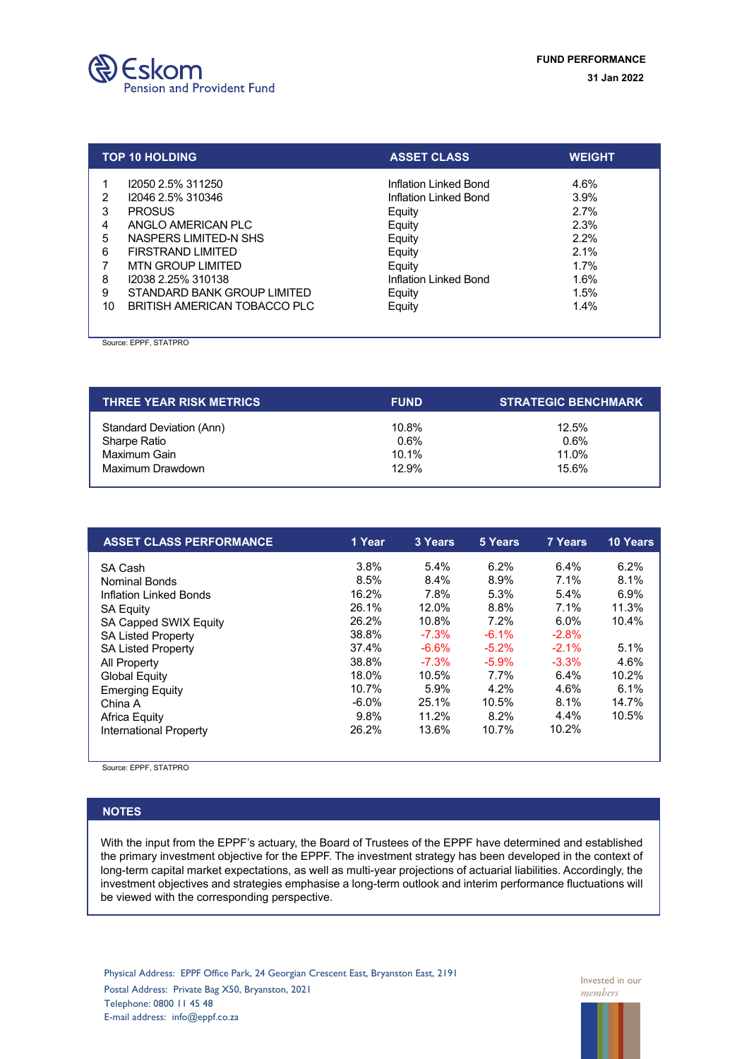

|                       | <b>TOP 10 HOLDING</b>                                                                                                                                                         | <b>ASSET CLASS</b>                                                                                                        | <b>WEIGHT</b>                                                |
|-----------------------|-------------------------------------------------------------------------------------------------------------------------------------------------------------------------------|---------------------------------------------------------------------------------------------------------------------------|--------------------------------------------------------------|
| 2<br>3<br>5<br>6<br>8 | 12050 2.5% 311250<br>12046 2.5% 310346<br><b>PROSUS</b><br>ANGLO AMERICAN PLC<br>NASPERS LIMITED-N SHS<br>FIRSTRAND LIMITED<br><b>MTN GROUP LIMITED</b><br>12038 2.25% 310138 | Inflation Linked Bond<br>Inflation Linked Bond<br>Equity<br>Equity<br>Equity<br>Equity<br>Equity<br>Inflation Linked Bond | 4.6%<br>3.9%<br>2.7%<br>2.3%<br>2.2%<br>2.1%<br>1.7%<br>1.6% |
| 9<br>10               | STANDARD BANK GROUP LIMITED<br>BRITISH AMERICAN TOBACCO PLC                                                                                                                   | Equity<br>Equity                                                                                                          | 1.5%<br>1.4%                                                 |

Source: EPPF, STATPRO

| <b>THREE YEAR RISK METRICS</b> | <b>FUND</b> | <b>STRATEGIC BENCHMARK</b> |  |
|--------------------------------|-------------|----------------------------|--|
| Standard Deviation (Ann)       | 10.8%       | 12.5%                      |  |
| Sharpe Ratio                   | 0.6%        | $0.6\%$                    |  |
| Maximum Gain                   | 10.1%       | 11.0%                      |  |
| Maximum Drawdown               | 12.9%       | 15.6%                      |  |

| <b>ASSET CLASS PERFORMANCE</b> | 1 Year   | 3 Years | 5 Years  | 7 Years | <b>10 Years</b> |
|--------------------------------|----------|---------|----------|---------|-----------------|
| SA Cash                        | 3.8%     | 5.4%    | 6.2%     | $6.4\%$ | 6.2%            |
| <b>Nominal Bonds</b>           | 8.5%     | 8.4%    | 8.9%     | 7.1%    | 8.1%            |
| Inflation Linked Bonds         | 16.2%    | 7.8%    | 5.3%     | 5.4%    | 6.9%            |
| <b>SA Equity</b>               | 26.1%    | 12.0%   | 8.8%     | 7.1%    | 11.3%           |
| SA Capped SWIX Equity          | 26.2%    | 10.8%   | 7.2%     | $6.0\%$ | 10.4%           |
| <b>SA Listed Property</b>      | 38.8%    | $-7.3%$ | $-6.1%$  | $-2.8%$ |                 |
| <b>SA Listed Property</b>      | 37.4%    | $-6.6%$ | $-5.2\%$ | $-2.1%$ | 5.1%            |
| All Property                   | 38.8%    | $-7.3%$ | $-5.9%$  | $-3.3%$ | 4.6%            |
| <b>Global Equity</b>           | 18.0%    | 10.5%   | $7.7\%$  | 6.4%    | 10.2%           |
| <b>Emerging Equity</b>         | 10.7%    | 5.9%    | 4.2%     | 4.6%    | 6.1%            |
| China A                        | $-6.0\%$ | 25.1%   | 10.5%    | 8.1%    | 14.7%           |
| Africa Equity                  | 9.8%     | 11.2%   | 8.2%     | $4.4\%$ | 10.5%           |
| International Property         | 26.2%    | 13.6%   | 10.7%    | 10.2%   |                 |

Source: EPPF, STATPRO

## **NOTES**

With the input from the EPPF's actuary, the Board of Trustees of the EPPF have determined and established the primary investment objective for the EPPF. The investment strategy has been developed in the context of long-term capital market expectations, as well as multi-year projections of actuarial liabilities. Accordingly, the investment objectives and strategies emphasise a long-term outlook and interim performance fluctuations will be viewed with the corresponding perspective.

Physical Address: EPPF Office Park, 24 Georgian Crescent East, Bryanston East, 2191 Postal Address: Private Bag X50, Bryanston, 2021 Telephone: 0800 11 45 48 E-mail address: info@eppf.co.za

Invested in our *members*